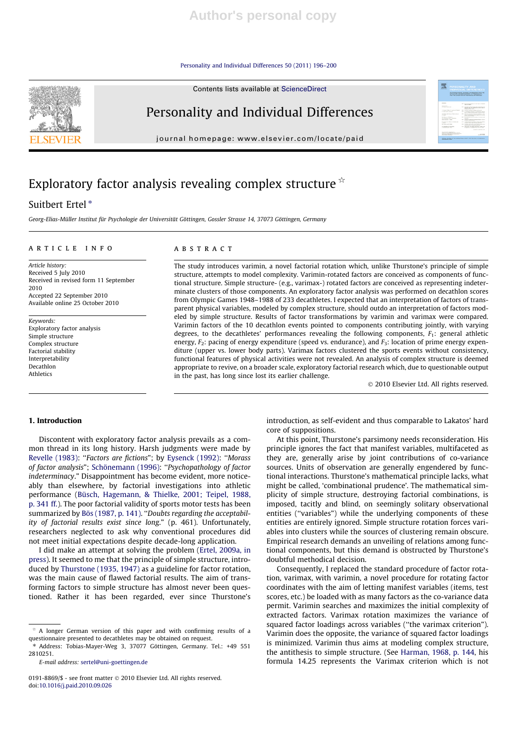Personality and Individual Differences 50 (2011) 196–200

Contents lists available at ScienceDirect



# Personality and Individual Differences

journal homepage: www.elsevier.com/locate/paid

# Exploratory factor analysis revealing complex structure  $\mathbb{R}$

## Suitbert Ertel<sup>\*</sup>

Georg-Elias-Müller Institut für Psychologie der Universität Göttingen, Gossler Strasse 14, 37073 Göttingen, Germany

## article info

#### **ABSTRACT**

Article history: Received 5 July 2010 Received in revised form 11 September 2010 Accepted 22 September 2010 Available online 25 October 2010

Keywords: Exploratory factor analysis Simple structure Complex structure Factorial stability Interpretability Decathlon Athletics

The study introduces varimin, a novel factorial rotation which, unlike Thurstone's principle of simple structure, attempts to model complexity. Varimin-rotated factors are conceived as components of functional structure. Simple structure- (e.g., varimax-) rotated factors are conceived as representing indeterminate clusters of those components. An exploratory factor analysis was performed on decathlon scores from Olympic Games 1948–1988 of 233 decathletes. I expected that an interpretation of factors of transparent physical variables, modeled by complex structure, should outdo an interpretation of factors modeled by simple structure. Results of factor transformations by varimin and varimax were compared. Varimin factors of the 10 decathlon events pointed to components contributing jointly, with varying degrees, to the decathletes' performances revealing the following components, F<sub>1</sub>: general athletic energy,  $F_2$ : pacing of energy expenditure (speed vs. endurance), and  $F_3$ : location of prime energy expenditure (upper vs. lower body parts). Varimax factors clustered the sports events without consistency, functional features of physical activities were not revealed. An analysis of complex structure is deemed appropriate to revive, on a broader scale, exploratory factorial research which, due to questionable output in the past, has long since lost its earlier challenge.

- 2010 Elsevier Ltd. All rights reserved.

#### 1. Introduction

Discontent with exploratory factor analysis prevails as a common thread in its long history. Harsh judgments were made by Revelle (1983): "Factors are fictions"; by Eysenck (1992): "Morass of factor analysis"; Schönemann (1996): ''Psychopathology of factor indeterminacy." Disappointment has become evident, more noticeably than elsewhere, by factorial investigations into athletic performance (Büsch, Hagemann, & Thielke, 2001; Teipel, 1988, p. 341 ff.). The poor factorial validity of sports motor tests has been summarized by Bös (1987, p. 141). ''Doubts regarding the acceptability of factorial results exist since long." (p. 461). Unfortunately, researchers neglected to ask why conventional procedures did not meet initial expectations despite decade-long application.

I did make an attempt at solving the problem (Ertel, 2009a, in press). It seemed to me that the principle of simple structure, introduced by Thurstone (1935, 1947) as a guideline for factor rotation, was the main cause of flawed factorial results. The aim of transforming factors to simple structure has almost never been questioned. Rather it has been regarded, ever since Thurstone's introduction, as self-evident and thus comparable to Lakatos' hard core of suppositions.

At this point, Thurstone's parsimony needs reconsideration. His principle ignores the fact that manifest variables, multifaceted as they are, generally arise by joint contributions of co-variance sources. Units of observation are generally engendered by functional interactions. Thurstone's mathematical principle lacks, what might be called, 'combinational prudence'. The mathematical simplicity of simple structure, destroying factorial combinations, is imposed, tacitly and blind, on seemingly solitary observational entities (''variables") while the underlying components of these entities are entirely ignored. Simple structure rotation forces variables into clusters while the sources of clustering remain obscure. Empirical research demands an unveiling of relations among functional components, but this demand is obstructed by Thurstone's doubtful methodical decision.

Consequently, I replaced the standard procedure of factor rotation, varimax, with varimin, a novel procedure for rotating factor coordinates with the aim of letting manifest variables (items, test scores, etc.) be loaded with as many factors as the co-variance data permit. Varimin searches and maximizes the initial complexity of extracted factors. Varimax rotation maximizes the variance of squared factor loadings across variables (''the varimax criterion"). Varimin does the opposite, the variance of squared factor loadings is minimized. Varimin thus aims at modeling complex structure, the antithesis to simple structure. (See Harman, 1968, p. 144, his formula 14.25 represents the Varimax criterion which is not

 $*$  A longer German version of this paper and with confirming results of a questionnaire presented to decathletes may be obtained on request.

<sup>⇑</sup> Address: Tobias-Mayer-Weg 3, 37077 Göttingen, Germany. Tel.: +49 551 2810251.

E-mail address: sertel@uni-goettingen.de

<sup>0191-8869/\$ -</sup> see front matter © 2010 Elsevier Ltd. All rights reserved. doi:10.1016/j.paid.2010.09.026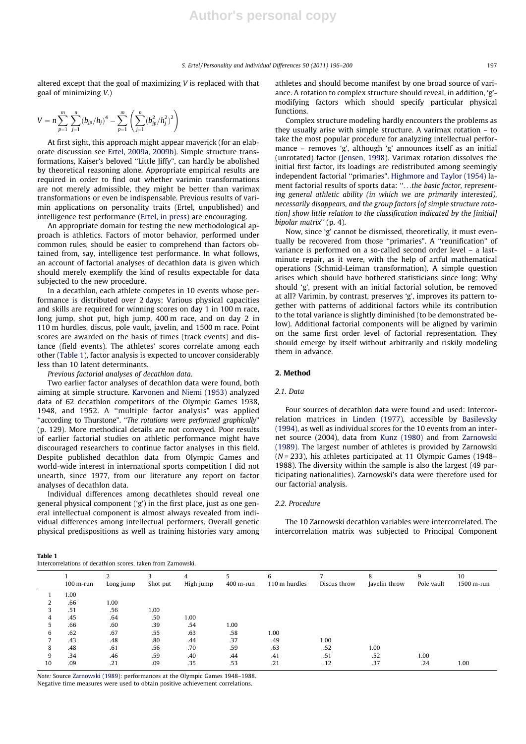altered except that the goal of maximizing V is replaced with that goal of minimizing V.)

$$
V = n \sum_{p=1}^{m} \sum_{j=1}^{n} (b_{jp}/h_j)^4 - \sum_{p=1}^{m} \left( \sum_{j=1}^{n} (b_{jp}^2/h_j^2)^2 \right)
$$

At first sight, this approach might appear maverick (for an elaborate discussion see Ertel, 2009a, 2009b). Simple structure transformations, Kaiser's beloved ''Little Jiffy", can hardly be abolished by theoretical reasoning alone. Appropriate empirical results are required in order to find out whether varimin transformations are not merely admissible, they might be better than varimax transformations or even be indispensable. Previous results of varimin applications on personality traits (Ertel, unpublished) and intelligence test performance (Ertel, in press) are encouraging.

An appropriate domain for testing the new methodological approach is athletics. Factors of motor behavior, performed under common rules, should be easier to comprehend than factors obtained from, say, intelligence test performance. In what follows, an account of factorial analyses of decathlon data is given which should merely exemplify the kind of results expectable for data subjected to the new procedure.

In a decathlon, each athlete competes in 10 events whose performance is distributed over 2 days: Various physical capacities and skills are required for winning scores on day 1 in 100 m race, long jump, shot put, high jump, 400 m race, and on day 2 in 110 m hurdles, discus, pole vault, javelin, and 1500 m race. Point scores are awarded on the basis of times (track events) and distance (field events). The athletes' scores correlate among each other (Table 1), factor analysis is expected to uncover considerably less than 10 latent determinants.

Previous factorial analyses of decathlon data.

Two earlier factor analyses of decathlon data were found, both aiming at simple structure. Karvonen and Niemi (1953) analyzed data of 62 decathlon competitors of the Olympic Games 1938, 1948, and 1952. A ''multiple factor analysis" was applied ''according to Thurstone". ''The rotations were performed graphically" (p. 129). More methodical details are not conveyed. Poor results of earlier factorial studies on athletic performance might have discouraged researchers to continue factor analyses in this field. Despite published decathlon data from Olympic Games and world-wide interest in international sports competition I did not unearth, since 1977, from our literature any report on factor analyses of decathlon data.

Individual differences among decathletes should reveal one general physical component ('g') in the first place, just as one general intellectual component is almost always revealed from individual differences among intellectual performers. Overall genetic physical predispositions as well as training histories vary among athletes and should become manifest by one broad source of variance. A rotation to complex structure should reveal, in addition, 'g' modifying factors which should specify particular physical functions.

Complex structure modeling hardly encounters the problems as they usually arise with simple structure. A varimax rotation – to take the most popular procedure for analyzing intellectual performance – removes 'g', although 'g' announces itself as an initial (unrotated) factor (Jensen, 1998). Varimax rotation dissolves the initial first factor, its loadings are redistributed among seemingly independent factorial ''primaries". Highmore and Taylor (1954) lament factorial results of sports data: "...the basic factor, representing general athletic ability (in which we are primarily interested), necessarily disappears, and the group factors [of simple structure rotation] show little relation to the classification indicated by the [initial] bipolar matrix" (p. 4).

Now, since 'g' cannot be dismissed, theoretically, it must eventually be recovered from those ''primaries". A ''reunification" of variance is performed on a so-called second order level – a lastminute repair, as it were, with the help of artful mathematical operations (Schmid-Leiman transformation). A simple question arises which should have bothered statisticians since long: Why should 'g', present with an initial factorial solution, be removed at all? Varimin, by contrast, preserves 'g', improves its pattern together with patterns of additional factors while its contribution to the total variance is slightly diminished (to be demonstrated below). Additional factorial components will be aligned by varimin on the same first order level of factorial representation. They should emerge by itself without arbitrarily and riskily modeling them in advance.

#### 2. Method

## 2.1. Data

Four sources of decathlon data were found and used: Intercorrelation matrices in Linden (1977), accessible by Basilevsky (1994), as well as individual scores for the 10 events from an internet source (2004), data from Kunz (1980) and from Zarnowski (1989). The largest number of athletes is provided by Zarnowski (N = 233), his athletes participated at 11 Olympic Games (1948– 1988). The diversity within the sample is also the largest (49 participating nationalities). Zarnowski's data were therefore used for our factorial analysis.

### 2.2. Procedure

The 10 Zarnowski decathlon variables were intercorrelated. The intercorrelation matrix was subjected to Principal Component

### Table 1

| Intercorrelations of decathlon scores, taken from Zarnowski, |  |  |  |
|--------------------------------------------------------------|--|--|--|
|                                                              |  |  |  |

|    | $100$ m-run | Long jump | Shot put | High jump | 400 m-run | 6<br>110 m hurdles | Discus throw | 8<br>Javelin throw | Pole vault | 10<br>1500 m-run |
|----|-------------|-----------|----------|-----------|-----------|--------------------|--------------|--------------------|------------|------------------|
|    | 1.00        |           |          |           |           |                    |              |                    |            |                  |
|    | .66         | 1.00      |          |           |           |                    |              |                    |            |                  |
|    | .51         | .56       | 1.00     |           |           |                    |              |                    |            |                  |
|    | .45         | .64       | .50      | 1.00      |           |                    |              |                    |            |                  |
|    | .66         | .60       | .39      | .54       | 1.00      |                    |              |                    |            |                  |
| 6  | .62         | .67       | .55      | .63       | .58       | 1.00               |              |                    |            |                  |
|    | .43         | .48       | .80      | .44       | .37       | .49                | 1.00         |                    |            |                  |
| 8  | .48         | .61       | .56      | .70       | .59       | .63                | .52          | 1.00               |            |                  |
|    | .34         | .46       | .59      | .40       | .44       | .41                | .51          | .52                | 1.00       |                  |
| 10 | .09         | .21       | .09      | .35       | .53       | .21                | .12          | .37                | .24        | 1.00             |

Note: Source Zarnowski (1989): performances at the Olympic Games 1948–1988. Negative time measures were used to obtain positive achievement correlations.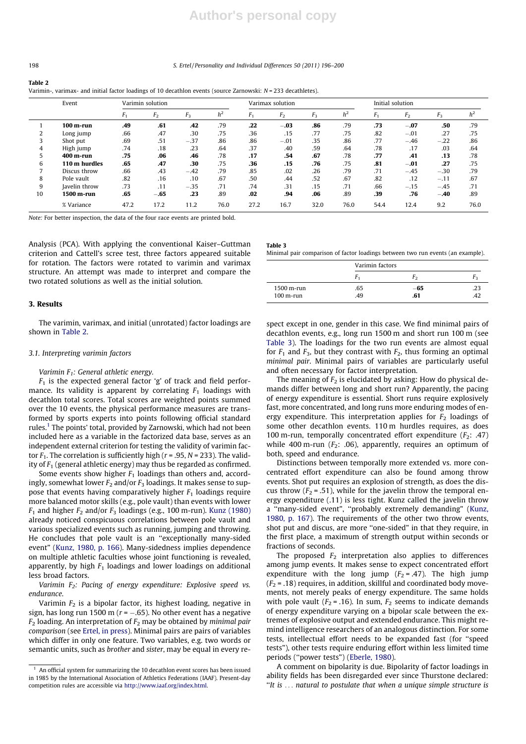## 198 S. Ertel / Personality and Individual Differences 50 (2011) 196–200

#### Table 2

Varimin-, varimax- and initial factor loadings of 10 decathlon events (source Zarnowski: N = 233 decathletes).

|    | Event         |                | Varimin solution |        |                | Varimax solution |                |       | Initial solution |                |                |        |                |
|----|---------------|----------------|------------------|--------|----------------|------------------|----------------|-------|------------------|----------------|----------------|--------|----------------|
|    |               | F <sub>1</sub> | F <sub>2</sub>   | $F_3$  | h <sup>2</sup> | $F_1$            | F <sub>2</sub> | $F_3$ | h <sup>2</sup>   | F <sub>1</sub> | F <sub>2</sub> | $F_3$  | h <sup>2</sup> |
|    | $100$ m-run   | .49            | .61              | .42    | .79            | .22              | $-.03$         | .86   | .79              | .73            | $-.07$         | .50    | .79            |
|    | Long jump     | .66            | .47              | .30    | .75            | .36              | .15            | .77   | .75              | .82            | $-.01$         | .27    | .75            |
| 3  | Shot put      | .69            | .51              | $-.37$ | .86            | .86              | $-.01$         | .35   | .86              | .77            | $-.46$         | $-.22$ | .86            |
| 4  | High jump     | .74            | .18              | .23    | .64            | .37              | .40            | .59   | .64              | .78            | .17            | .03    | .64            |
| 5  | 400 m-run     | .75            | .06              | .46    | .78            | .17              | .54            | .67   | .78              | .77            | .41            | .13    | .78            |
| 6  | 110 m hurdles | .65            | .47              | .30    | .75            | .36              | .15            | .76   | .75              | .81            | $-.01$         | .27    | .75            |
|    | Discus throw  | .66            | .43              | $-.42$ | .79            | .85              | .02            | .26   | .79              | .71            | $-.45$         | $-.30$ | .79            |
| 8  | Pole vault    | .82            | .16              | .10    | .67            | .50              | .44            | .52   | .67              | .82            | .12            | $-.11$ | .67            |
| 9  | Javelin throw | .73            | .11              | $-.35$ | .71            | .74              | .31            | .15   | .71              | .66            | $-.15$         | $-.45$ | .71            |
| 10 | 1500 m-run    | .65            | $-.65$           | .23    | .89            | .02              | .94            | .06   | .89              | .39            | .76            | $-.40$ | .89            |
|    | % Variance    | 47.2           | 17.2             | 11.2   | 76.0           | 27.2             | 16.7           | 32.0  | 76.0             | 54.4           | 12.4           | 9.2    | 76.0           |

Table 3

Note: For better inspection, the data of the four race events are printed bold.

Analysis (PCA). With applying the conventional Kaiser–Guttman criterion and Cattell's scree test, three factors appeared suitable for rotation. The factors were rotated to varimin and varimax structure. An attempt was made to interpret and compare the two rotated solutions as well as the initial solution.

### 3. Results

The varimin, varimax, and initial (unrotated) factor loadings are shown in Table 2.

## 3.1. Interpreting varimin factors

## Varimin  $F_1$ : General athletic energy.

 $F_1$  is the expected general factor 'g' of track and field performance. Its validity is apparent by correlating  $F_1$  loadings with decathlon total scores. Total scores are weighted points summed over the 10 events, the physical performance measures are transformed by sports experts into points following official standard rules.<sup>1</sup> The points' total, provided by Zarnowski, which had not been included here as a variable in the factorized data base, serves as an independent external criterion for testing the validity of varimin factor  $F_1$ . The correlation is sufficiently high ( $r = .95$ ,  $N = 233$ ). The validity of  $F_1$  (general athletic energy) may thus be regarded as confirmed.

Some events show higher  $F_1$  loadings than others and, accordingly, somewhat lower  $F_2$  and/or  $F_3$  loadings. It makes sense to suppose that events having comparatively higher  $F_1$  loadings require more balanced motor skills (e.g., pole vault) than events with lower  $F_1$  and higher  $F_2$  and/or  $F_3$  loadings (e.g., 100 m-run). Kunz (1980) already noticed conspicuous correlations between pole vault and various specialized events such as running, jumping and throwing. He concludes that pole vault is an ''exceptionally many-sided event" (Kunz, 1980, p. 166). Many-sidedness implies dependence on multiple athletic faculties whose joint functioning is revealed, apparently, by high  $F_1$  loadings and lower loadings on additional less broad factors.

Varimin  $F_2$ : Pacing of energy expenditure: Explosive speed vs. endurance.

Varimin  $F_2$  is a bipolar factor, its highest loading, negative in sign, has long run 1500 m ( $r$  =  $-$ .65). No other event has a negative  $F_2$  loading. An interpretation of  $F_2$  may be obtained by minimal pair comparison (see Ertel, in press). Minimal pairs are pairs of variables which differ in only one feature. Two variables, e.g. two words or semantic units, such as brother and sister, may be equal in every re-

| Minimal pair comparison of factor loadings between two run events (an example). |  |
|---------------------------------------------------------------------------------|--|
|---------------------------------------------------------------------------------|--|

|                           | Varimin factors |              |    |  |  |
|---------------------------|-----------------|--------------|----|--|--|
|                           | F,              | Γ٠           | μ٥ |  |  |
| 1500 m-run<br>$100$ m-run | .65<br>.49      | $-65$<br>.61 |    |  |  |

spect except in one, gender in this case. We find minimal pairs of decathlon events, e.g., long run 1500 m and short run 100 m (see Table 3). The loadings for the two run events are almost equal for  $F_1$  and  $F_3$ , but they contrast with  $F_2$ , thus forming an optimal minimal pair. Minimal pairs of variables are particularly useful and often necessary for factor interpretation.

The meaning of  $F_2$  is elucidated by asking: How do physical demands differ between long and short run? Apparently, the pacing of energy expenditure is essential. Short runs require explosively fast, more concentrated, and long runs more enduring modes of energy expenditure. This interpretation applies for  $F<sub>2</sub>$  loadings of some other decathlon events. 110 m hurdles requires, as does 100 m-run, temporally concentrated effort expenditure ( $F_2$ : .47) while 400 m-run ( $F_2$ : .06), apparently, requires an optimum of both, speed and endurance.

Distinctions between temporally more extended vs. more concentrated effort expenditure can also be found among throw events. Shot put requires an explosion of strength, as does the discus throw  $(F_2 = .51)$ , while for the javelin throw the temporal energy expenditure (.11) is less tight. Kunz called the javelin throw a ''many-sided event", ''probably extremely demanding" (Kunz, 1980, p. 167). The requirements of the other two throw events, shot put and discus, are more ''one-sided" in that they require, in the first place, a maximum of strength output within seconds or fractions of seconds.

The proposed  $F_2$  interpretation also applies to differences among jump events. It makes sense to expect concentrated effort expenditure with the long jump ( $F_2 = .47$ ). The high jump  $(F_2 = .18)$  requires, in addition, skillful and coordinated body movements, not merely peaks of energy expenditure. The same holds with pole vault ( $F_2$  = .16). In sum,  $F_2$  seems to indicate demands of energy expenditure varying on a bipolar scale between the extremes of explosive output and extended endurance. This might remind intelligence researchers of an analogous distinction. For some tests, intellectual effort needs to be expanded fast (for ''speed tests"), other tests require enduring effort within less limited time periods (''power tests") (Eberle, 1980).

A comment on bipolarity is due. Bipolarity of factor loadings in ability fields has been disregarded ever since Thurstone declared: ''It is ... natural to postulate that when a unique simple structure is

 $^{\rm 1}$  An official system for summarizing the 10 decathlon event scores has been issued in 1985 by the International Association of Athletics Federations (IAAF). Present-day competition rules are accessible via http://www.iaaf.org/index.html.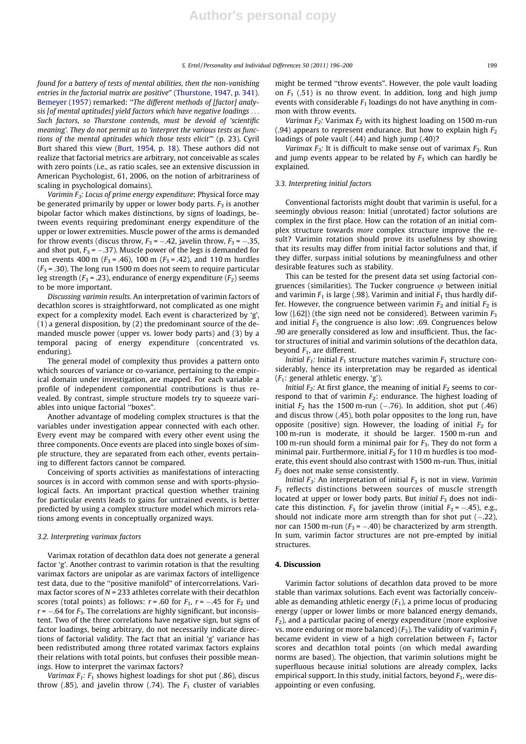found for a battery of tests of mental abilities, then the non-vanishing entries in the factorial matrix are positive" (Thurstone, 1947, p. 341). Bemeyer (1957) remarked: "The different methods of [factor] analysis [of mental aptitudes] yield factors which have negative loadings ... Such factors, so Thurstone contends, must be devoid of 'scientific meaning'. They do not permit us to 'interpret the various tests as functions of the mental aptitudes which those tests elicit'" (p. 23). Cyril Burt shared this view (Burt, 1954, p. 18). These authors did not realize that factorial metrics are arbitrary, not conceivable as scales with zero points (i.e., as ratio scales, see an extensive discussion in American Psychologist, 61, 2006, on the notion of arbitrariness of scaling in psychological domains).

Varimin  $F_3$ : Locus of prime energy expenditure: Physical force may be generated primarily by upper or lower body parts.  $F_3$  is another bipolar factor which makes distinctions, by signs of loadings, between events requiring predominant energy expenditure of the upper or lower extremities. Muscle power of the arms is demanded for throw events (discus throw,  $F_3$  =  $-.42$ , javelin throw,  $F_3$  =  $-.35$ , and shot put,  $F_3$  =  $-.37$ ). Muscle power of the legs is demanded for run events 400 m ( $F_3$  = .46), 100 m ( $F_3$  = .42), and 110 m hurdles  $(F_3 = .30)$ . The long run 1500 m does not seem to require particular leg strength ( $F_3$  = .23), endurance of energy expenditure ( $F_2$ ) seems to be more important.

Discussing varimin results. An interpretation of varimin factors of decathlon scores is straightforward, not complicated as one might expect for a complexity model. Each event is characterized by 'g', (1) a general disposition, by (2) the predominant source of the demanded muscle power (upper vs. lower body parts) and (3) by a temporal pacing of energy expenditure (concentrated vs. enduring).

The general model of complexity thus provides a pattern onto which sources of variance or co-variance, pertaining to the empirical domain under investigation, are mapped. For each variable a profile of independent componential contributions is thus revealed. By contrast, simple structure models try to squeeze variables into unique factorial ''boxes".

Another advantage of modeling complex structures is that the variables under investigation appear connected with each other. Every event may be compared with every other event using the three components. Once events are placed into single boxes of simple structure, they are separated from each other, events pertaining to different factors cannot be compared.

Conceiving of sports activities as manifestations of interacting sources is in accord with common sense and with sports-physiological facts. An important practical question whether training for particular events leads to gains for untrained events, is better predicted by using a complex structure model which mirrors relations among events in conceptually organized ways.

#### 3.2. Interpreting varimax factors

Varimax rotation of decathlon data does not generate a general factor 'g'. Another contrast to varimin rotation is that the resulting varimax factors are unipolar as are varimax factors of intelligence test data, due to the ''positive manifold" of intercorrelations. Varimax factor scores of  $N = 233$  athletes correlate with their decathlon scores (total points) as follows:  $r = .60$  for  $F_1$ ,  $r = -.45$  for  $F_2$  und  $r$  =  $-.64$  for  $F_3$ . The correlations are highly significant, but inconsistent. Two of the three correlations have negative sign, but signs of factor loadings, being arbitrary, do not necessarily indicate directions of factorial validity. The fact that an initial 'g' variance has been redistributed among three rotated varimax factors explains their relations with total points, but confuses their possible meanings. How to interpret the varimax factors?

Varimax  $F_1$ :  $F_1$  shows highest loadings for shot put (.86), discus throw (.85), and javelin throw (.74). The  $F_1$  cluster of variables might be termed ''throw events". However, the pole vault loading on  $F_1$  (.51) is no throw event. In addition, long and high jump events with considerable  $F_1$  loadings do not have anything in common with throw events.

Varimax  $F_2$ : Varimax  $F_2$  with its highest loading on 1500 m-run (.94) appears to represent endurance. But how to explain high  $F_2$ loadings of pole vault (.44) and high jump (.40)?

Varimax  $F_3$ : It is difficult to make sense out of varimax  $F_3$ . Run and jump events appear to be related by  $F_3$  which can hardly be explained.

## 3.3. Interpreting initial factors

Conventional factorists might doubt that varimin is useful, for a seemingly obvious reason: Initial (unrotated) factor solutions are complex in the first place. How can the rotation of an initial complex structure towards more complex structure improve the result? Varimin rotation should prove its usefulness by showing that its results may differ from initial factor solutions and that, if they differ, surpass initial solutions by meaningfulness and other desirable features such as stability.

This can be tested for the present data set using factorial congruences (similarities). The Tucker congruence  $\varphi$  between initial and varimin  $F_1$  is large (.98). Varimin and initial  $F_1$  thus hardly differ. However, the congruence between varimin  $F_2$  and initial  $F_2$  is low ( $|.62|$ ) (the sign need not be considered). Between varimin  $F_3$ and initial  $F_3$  the congruence is also low: .69. Congruences below .90 are generally considered as low and insufficient. Thus, the factor structures of initial and varimin solutions of the decathlon data, beyond  $F_1$ , are different.

Initial  $F_1$ : Initial  $F_1$  structure matches varimin  $F_1$  structure considerably, hence its interpretation may be regarded as identical  $(F_1:$  general athletic energy, 'g').

*Initial*  $F_2$ : At first glance, the meaning of initial  $F_2$  seems to correspond to that of varimin  $F_2$ : endurance. The highest loading of initial  $F_2$  has the 1500 m-run (–.76). In addition, shot put (.46) and discus throw (.45), both polar opposites to the long run, have opposite (positive) sign. However, the loading of initial  $F_2$  for 100 m-run is moderate, it should be larger. 1500 m-run and 100 m-run should form a minimal pair for  $F_3$ . They do not form a minimal pair. Furthermore, initial  $F_2$  for 110 m hurdles is too moderate, this event should also contrast with 1500 m-run. Thus, initial  $F<sub>2</sub>$  does not make sense consistently.

Initial  $F_3$ : An interpretation of initial  $F_3$  is not in view. Varimin  $F_3$  reflects distinctions between sources of muscle strength located at upper or lower body parts. But *initial*  $F_3$  does not indicate this distinction.  $F_3$  for javelin throw (initial  $F_3 = -.45$ ), e.g., should not indicate more arm strength than for shot put  $(-.22)$ , nor can 1500 m-run ( $F_3$  =  $-.40$ ) be characterized by arm strength. In sum, varimin factor structures are not pre-empted by initial structures.

#### 4. Discussion

Varimin factor solutions of decathlon data proved to be more stable than varimax solutions. Each event was factorially conceivable as demanding athletic energy  $(F_1)$ , a prime locus of producing energy (upper or lower limbs or more balanced energy demands,  $F<sub>2</sub>$ ), and a particular pacing of energy expenditure (more explosive vs. more enduring or more balanced)  $(F_3)$ . The validity of varimin  $F_1$ became evident in view of a high correlation between  $F_1$  factor scores and decathlon total points (on which medal awarding norms are based). The objection, that varimin solutions might be superfluous because initial solutions are already complex, lacks empirical support. In this study, initial factors, beyond  $F_1$ , were disappointing or even confusing.